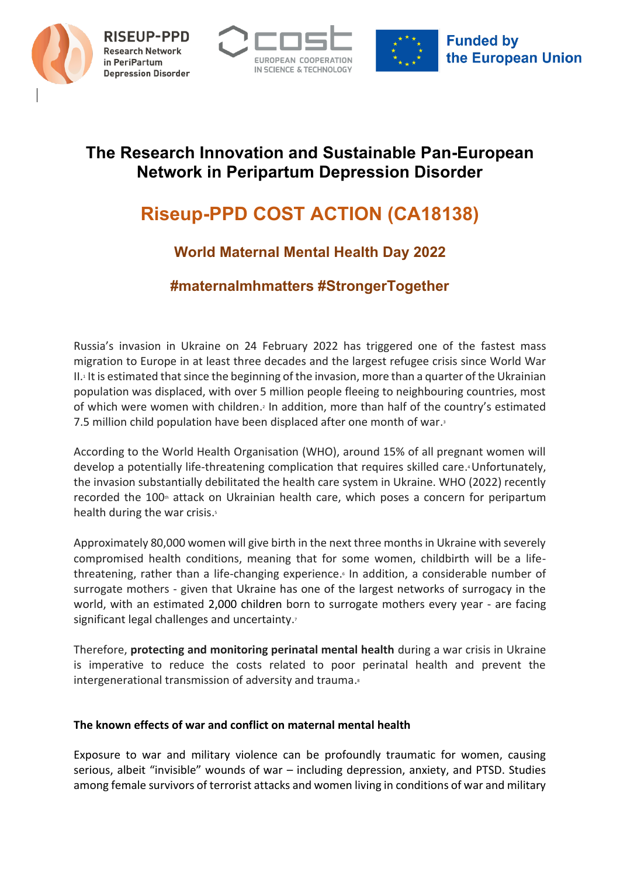

**Research Network** in PeriPartum **Depression Disorder** 





# **The Research Innovation and Sustainable Pan-European Network in Peripartum Depression Disorder**

# **Riseup-PPD COST ACTION (CA18138)**

# **World Maternal Mental Health Day 2022**

## **#maternalmhmatters #StrongerTogether**

Russia's invasion in Ukraine on 24 February 2022 has triggered one of the fastest mass migration to Europe in at least three decades and the largest refugee crisis since World War II. <sup>1</sup> It is estimated that since the beginning of the invasion, more than a quarter of the Ukrainian population was displaced, with over 5 million people fleeing to neighbouring countries, most of which were women with children. <sup>2</sup> In addition, more than half of the country's estimated 7.5 million child population have been displaced after one month of war. 3

According to the World Health Organisation (WHO), around 15% of all pregnant women will develop a potentially life-threatening complication that requires skilled care. <sup>4</sup>Unfortunately, the invasion substantially debilitated the health care system in Ukraine. WHO (2022) recently recorded the 100<sup>th</sup> attack on Ukrainian health care, which poses a concern for peripartum health during the war crisis.<sup>5</sup>

Approximately 80,000 women will give birth in the next three months in Ukraine with severely compromised health conditions, meaning that for some women, childbirth will be a lifethreatening, rather than a life-changing experience. <sup>6</sup> In addition, a considerable number of surrogate mothers - given that Ukraine has one of the largest networks of surrogacy in the world, with an estimated 2,000 children born to surrogate mothers every year - are facing significant legal challenges and uncertainty.

Therefore, **protecting and monitoring perinatal mental health** during a war crisis in Ukraine is imperative to reduce the costs related to poor perinatal health and prevent the intergenerational transmission of adversity and trauma.

### **The known effects of war and conflict on maternal mental health**

Exposure to war and military violence can be profoundly traumatic for women, causing serious, albeit "invisible" wounds of war – including depression, anxiety, and PTSD. Studies among female survivors of terrorist attacks and women living in conditions of war and military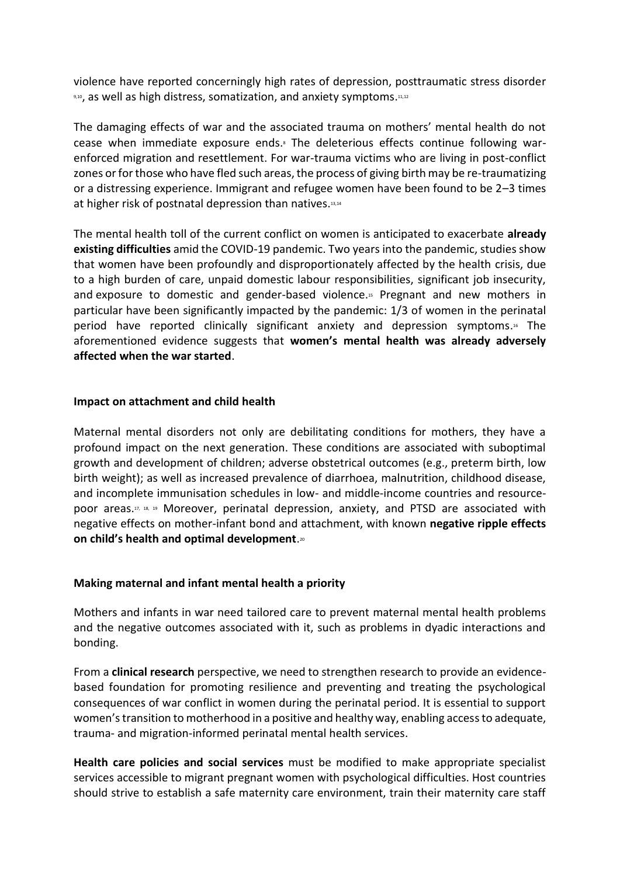violence have reported concerningly high rates of depression, posttraumatic stress disorder  $_{9,10}$ , as well as high distress, somatization, and anxiety symptoms. $11,12$ 

The damaging effects of war and the associated trauma on mothers' mental health do not cease when immediate exposure ends. <sup>8</sup> The deleterious effects continue following warenforced migration and resettlement. For war-trauma victims who are living in post-conflict zones or for those who have fled such areas, the process of giving birth may be re-traumatizing or a distressing experience. Immigrant and refugee women have been found to be 2–3 times at higher risk of postnatal depression than natives.<sup>13,14</sup>

The mental health toll of the current conflict on women is anticipated to exacerbate **already existing difficulties** amid the COVID-19 pandemic. Two years into the pandemic, studies show that women have been profoundly and disproportionately affected by the health crisis, due to a high burden of care, unpaid domestic labour responsibilities, significant job insecurity, and exposure to domestic and gender-based violence. <sup>15</sup> Pregnant and new mothers in particular have been significantly impacted by the pandemic: 1/3 of women in the perinatal period have reported clinically significant anxiety and depression symptoms.<sup>16</sup> The aforementioned evidence suggests that **women's mental health was already adversely affected when the war started**.

### **Impact on attachment and child health**

Maternal mental disorders not only are debilitating conditions for mothers, they have a profound impact on the next generation. These conditions are associated with suboptimal growth and development of children; adverse obstetrical outcomes (e.g., preterm birth, low birth weight); as well as increased prevalence of diarrhoea, malnutrition, childhood disease, and incomplete immunisation schedules in low- and middle-income countries and resourcepoor areas. 17, 18, 19 Moreover, perinatal depression, anxiety, and PTSD are associated with negative effects on mother-infant bond and attachment, with known **negative ripple effects on child's health and optimal development**. 20

### **Making maternal and infant mental health a priority**

Mothers and infants in war need tailored care to prevent maternal mental health problems and the negative outcomes associated with it, such as problems in dyadic interactions and bonding.

From a **clinical research** perspective, we need to strengthen research to provide an evidencebased foundation for promoting resilience and preventing and treating the psychological consequences of war conflict in women during the perinatal period. It is essential to support women's transition to motherhood in a positive and healthy way, enabling access to adequate, trauma- and migration-informed perinatal mental health services.

**Health care policies and social services** must be modified to make appropriate specialist services accessible to migrant pregnant women with psychological difficulties. Host countries should strive to establish a safe maternity care environment, train their maternity care staff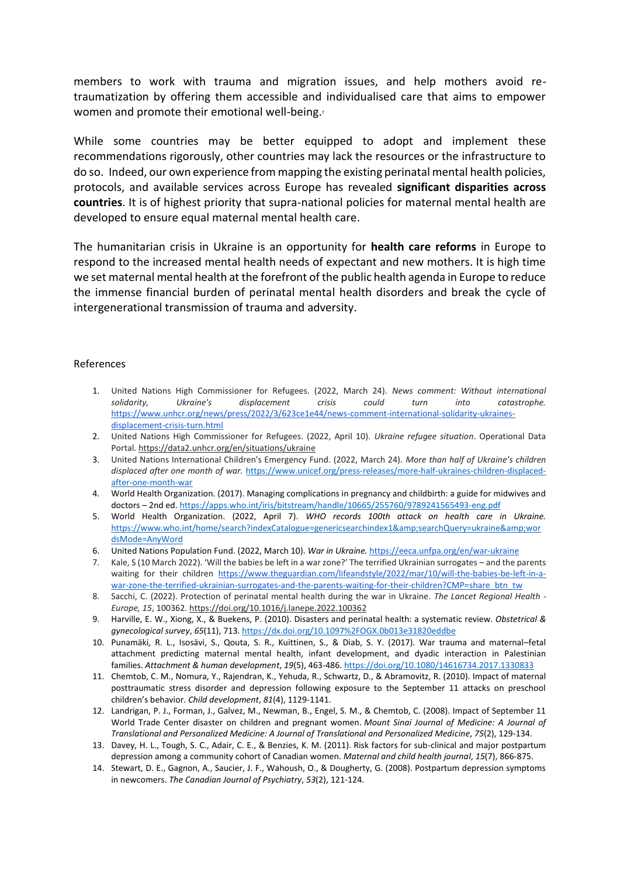members to work with trauma and migration issues, and help mothers avoid retraumatization by offering them accessible and individualised care that aims to empower women and promote their emotional well-being.

While some countries may be better equipped to adopt and implement these recommendations rigorously, other countries may lack the resources or the infrastructure to do so. Indeed, our own experience from mapping the existing perinatal mental health policies, protocols, and available services across Europe has revealed **significant disparities across countries**. It is of highest priority that supra-national policies for maternal mental health are developed to ensure equal maternal mental health care.

The humanitarian crisis in Ukraine is an opportunity for **health care reforms** in Europe to respond to the increased mental health needs of expectant and new mothers. It is high time we set maternal mental health at the forefront of the public health agenda in Europe to reduce the immense financial burden of perinatal mental health disorders and break the cycle of intergenerational transmission of trauma and adversity.

#### References

- 1. United Nations High Commissioner for Refugees. (2022, March 24). *News comment: Without international solidarity, Ukraine's displacement crisis could turn into catastrophe.* [https://www.unhcr.org/news/press/2022/3/623ce1e44/news-comment-international-solidarity-ukraines](https://www.unhcr.org/news/press/2022/3/623ce1e44/news-comment-international-solidarity-ukraines-displacement-crisis-turn.html)[displacement-crisis-turn.html](https://www.unhcr.org/news/press/2022/3/623ce1e44/news-comment-international-solidarity-ukraines-displacement-crisis-turn.html)
- 2. United Nations High Commissioner for Refugees. (2022, April 10). *Ukraine refugee situation*. Operational Data Portal. <https://data2.unhcr.org/en/situations/ukraine>
- 3. United Nations International Children's Emergency Fund. (2022, March 24). *More than half of Ukraine's children displaced after one month of war.* [https://www.unicef.org/press-releases/more-half-ukraines-children-displaced](https://www.unicef.org/press-releases/more-half-ukraines-children-displaced-after-one-month-war)[after-one-month-war](https://www.unicef.org/press-releases/more-half-ukraines-children-displaced-after-one-month-war)
- 4. World Health Organization. (2017). Managing complications in pregnancy and childbirth: a guide for midwives and doctors – 2nd ed. <https://apps.who.int/iris/bitstream/handle/10665/255760/9789241565493-eng.pdf>
- 5. World Health Organization. (2022, April 7). *WHO records 100th attack on health care in Ukraine.* [https://www.who.int/home/search?indexCatalogue=genericsearchindex1&searchQuery=ukraine&wor](https://www.who.int/home/search?indexCatalogue=genericsearchindex1&searchQuery=ukraine&wordsMode=AnyWord) [dsMode=AnyWord](https://www.who.int/home/search?indexCatalogue=genericsearchindex1&searchQuery=ukraine&wordsMode=AnyWord)
- 6. United Nations Population Fund. (2022, March 10). *War in Ukraine.* <https://eeca.unfpa.org/en/war-ukraine>
- 7. Kale, S (10 March 2022). 'Will the babies be left in a war zone?' The terrified Ukrainian surrogates and the parents waiting for their children [https://www.theguardian.com/lifeandstyle/2022/mar/10/will-the-babies-be-left-in-a](https://www.theguardian.com/lifeandstyle/2022/mar/10/will-the-babies-be-left-in-a-war-zone-the-terrified-ukrainian-surrogates-and-the-parents-waiting-for-their-children?CMP=share_btn_tw)[war-zone-the-terrified-ukrainian-surrogates-and-the-parents-waiting-for-their-children?CMP=share\\_btn\\_tw](https://www.theguardian.com/lifeandstyle/2022/mar/10/will-the-babies-be-left-in-a-war-zone-the-terrified-ukrainian-surrogates-and-the-parents-waiting-for-their-children?CMP=share_btn_tw)
- 8. Sacchi, C. (2022). Protection of perinatal mental health during the war in Ukraine. *The Lancet Regional Health - Europe, 15*, 100362. <https://doi.org/10.1016/j.lanepe.2022.100362>
- 9. Harville, E. W., Xiong, X., & Buekens, P. (2010). Disasters and perinatal health: a systematic review. *Obstetrical & gynecological survey*, *65*(11), 713. <https://dx.doi.org/10.1097%2FOGX.0b013e31820eddbe>
- 10. Punamäki, R. L., Isosävi, S., Qouta, S. R., Kuittinen, S., & Diab, S. Y. (2017). War trauma and maternal–fetal attachment predicting maternal mental health, infant development, and dyadic interaction in Palestinian families. *Attachment & human development*, *19*(5), 463-486. <https://doi.org/10.1080/14616734.2017.1330833>
- 11. Chemtob, C. M., Nomura, Y., Rajendran, K., Yehuda, R., Schwartz, D., & Abramovitz, R. (2010). Impact of maternal posttraumatic stress disorder and depression following exposure to the September 11 attacks on preschool children's behavior. *Child development*, *81*(4), 1129-1141.
- 12. Landrigan, P. J., Forman, J., Galvez, M., Newman, B., Engel, S. M., & Chemtob, C. (2008). Impact of September 11 World Trade Center disaster on children and pregnant women. *Mount Sinai Journal of Medicine: A Journal of Translational and Personalized Medicine: A Journal of Translational and Personalized Medicine*, *75*(2), 129-134.
- 13. Davey, H. L., Tough, S. C., Adair, C. E., & Benzies, K. M. (2011). Risk factors for sub-clinical and major postpartum depression among a community cohort of Canadian women. *Maternal and child health journal*, *15*(7), 866-875.
- 14. Stewart, D. E., Gagnon, A., Saucier, J. F., Wahoush, O., & Dougherty, G. (2008). Postpartum depression symptoms in newcomers. *The Canadian Journal of Psychiatry*, *53*(2), 121-124.